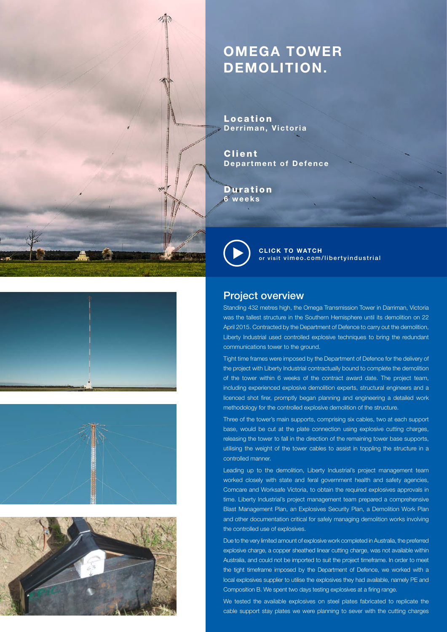## **OMEGA TOWER DEMOLITION.**

Location **Derriman, Victoria**

Client **Department of Defence**

Duration **6 weeks**



**CLICK TO WATCH** [or visit vimeo.com/libertyindustrial](https://vimeo.com/138044420)







## Project overview

Standing 432 metres high, the Omega Transmission Tower in Darriman, Victoria was the tallest structure in the Southern Hemisphere until its demolition on 22 April 2015. Contracted by the Department of Defence to carry out the demolition, Liberty Industrial used controlled explosive techniques to bring the redundant communications tower to the ground.

Tight time frames were imposed by the Department of Defence for the delivery of the project with Liberty Industrial contractually bound to complete the demolition of the tower within 6 weeks of the contract award date. The project team, including experienced explosive demolition experts, structural engineers and a licenced shot firer, promptly began planning and engineering a detailed work methodology for the controlled explosive demolition of the structure.

Three of the tower's main supports, comprising six cables, two at each support base, would be cut at the plate connection using explosive cutting charges, releasing the tower to fall in the direction of the remaining tower base supports, utilising the weight of the tower cables to assist in toppling the structure in a controlled manner.

Leading up to the demolition, Liberty Industrial's project management team worked closely with state and feral government health and safety agencies, Comcare and Worksafe Victoria, to obtain the required explosives approvals in time. Liberty Industrial's project management team prepared a comprehensive Blast Management Plan, an Explosives Security Plan, a Demolition Work Plan and other documentation critical for safely managing demolition works involving the controlled use of explosives.

Due to the very limited amount of explosive work completed in Australia, the preferred explosive charge, a copper sheathed linear cutting charge, was not available within Australia, and could not be imported to suit the project timeframe. In order to meet the tight timeframe imposed by the Department of Defence, we worked with a local explosives supplier to utilise the explosives they had available, namely PE and Composition B. We spent two days testing explosives at a firing range.

We tested the available explosives on steel plates fabricated to replicate the cable support stay plates we were planning to sever with the cutting charges